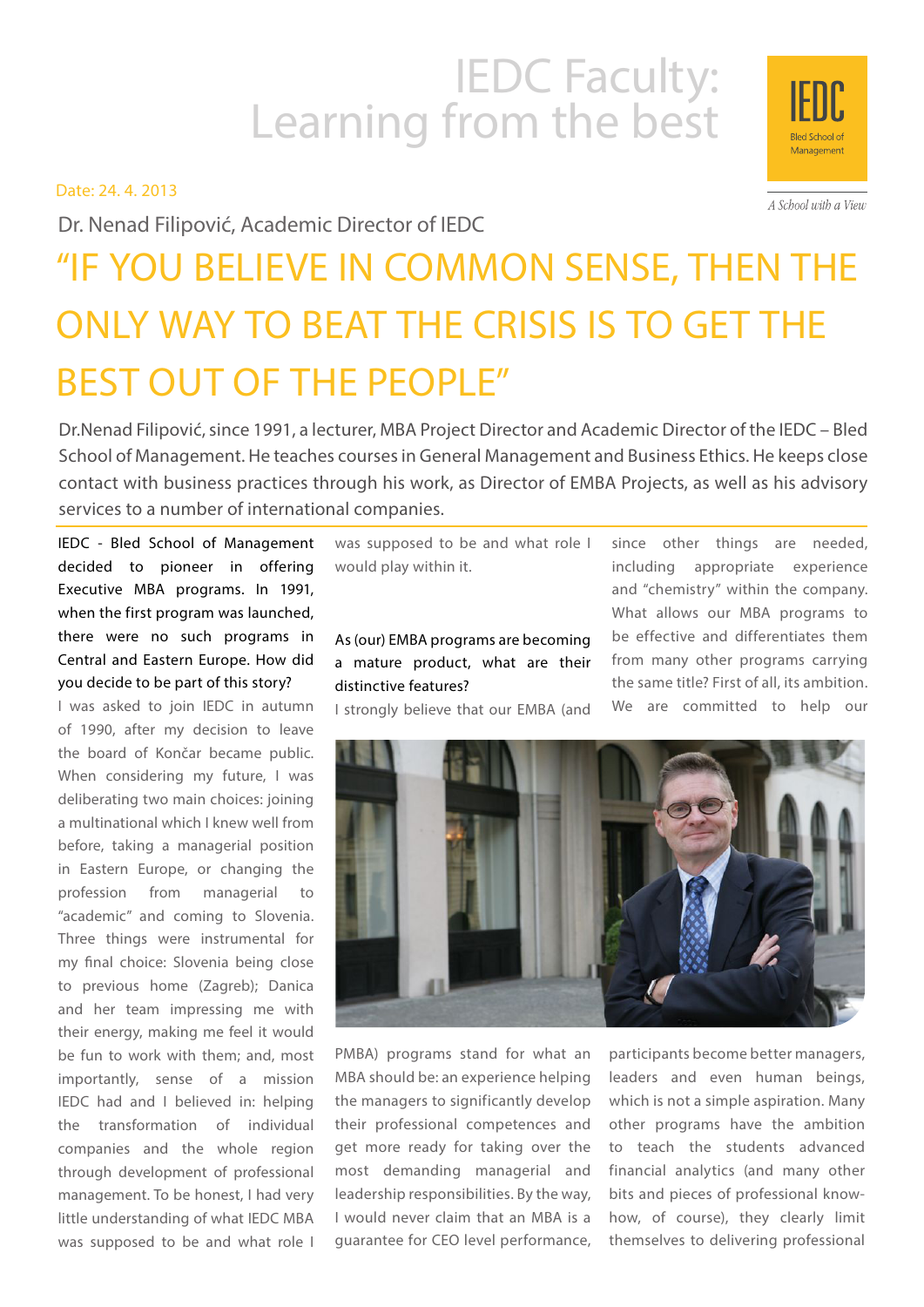# IEDC Faculty:<br>Learning from the best

Date: 24. 4. 2013

Dr. Nenad Filipović, Academic Director of IEDC

# "IF YOU BELIEVE IN COMMON SENSE, THEN THE ONLY WAY TO BEAT THE CRISIS IS TO GET THE BEST OUT OF THE PEOPLE"

Dr.Nenad Filipović, since 1991, a lecturer, MBA Project Director and Academic Director of the IEDC – Bled School of Management. He teaches courses in General Management and Business Ethics. He keeps close contact with business practices through his work, as Director of EMBA Projects, as well as his advisory services to a number of international companies.

IEDC - Bled School of Management decided to pioneer in offering Executive MBA programs. In 1991, when the first program was launched, there were no such programs in Central and Eastern Europe. How did you decide to be part of this story?

I was asked to join IEDC in autumn of 1990, after my decision to leave the board of Končar became public. When considering my future, I was deliberating two main choices: joining a multinational which I knew well from before, taking a managerial position in Eastern Europe, or changing the profession from managerial to "academic" and coming to Slovenia. Three things were instrumental for my final choice: Slovenia being close to previous home (Zagreb); Danica and her team impressing me with their energy, making me feel it would be fun to work with them; and, most importantly, sense of a mission IEDC had and I believed in: helping the transformation of individual companies and the whole region through development of professional management. To be honest, I had very little understanding of what IEDC MBA was supposed to be and what role I

was supposed to be and what role I would play within it.

As (our) EMBA programs are becoming a mature product, what are their distinctive features?

I strongly believe that our EMBA (and

since other things are needed, including appropriate experience and "chemistry" within the company. What allows our MBA programs to be effective and differentiates them from many other programs carrying the same title? First of all, its ambition. We are committed to help our







A School with a View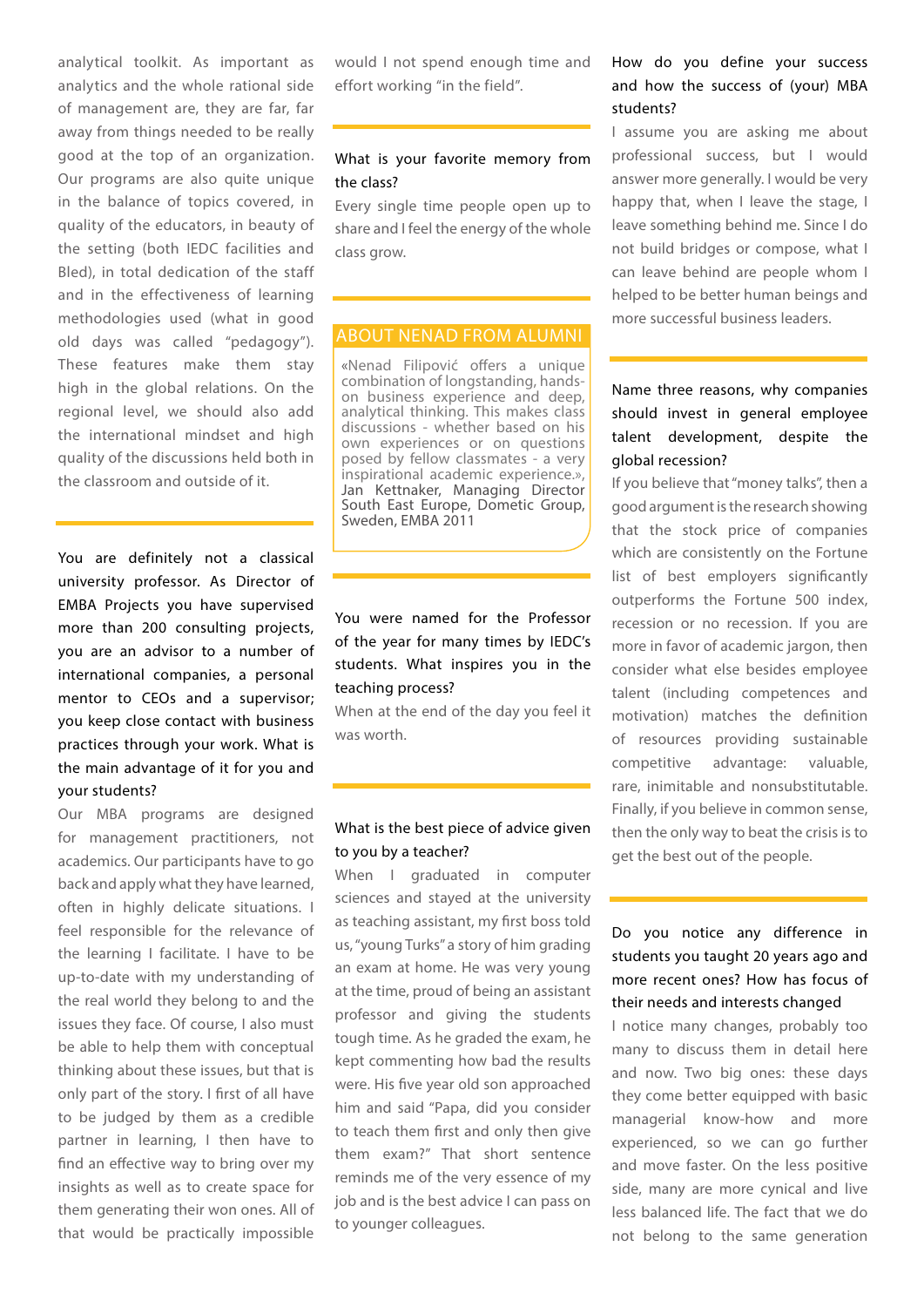analytical toolkit. As important as analytics and the whole rational side of management are, they are far, far away from things needed to be really good at the top of an organization. Our programs are also quite unique in the balance of topics covered, in quality of the educators, in beauty of the setting (both IEDC facilities and Bled), in total dedication of the staff and in the effectiveness of learning methodologies used (what in good old days was called "pedagogy"). These features make them stay high in the global relations. On the regional level, we should also add the international mindset and high quality of the discussions held both in the classroom and outside of it.

You are definitely not a classical university professor. As Director of EMBA Projects you have supervised more than 200 consulting projects, you are an advisor to a number of international companies, a personal mentor to CEOs and a supervisor; you keep close contact with business practices through your work. What is the main advantage of it for you and your students?

Our MBA programs are designed for management practitioners, not academics. Our participants have to go back and apply what they have learned, often in highly delicate situations. I feel responsible for the relevance of the learning I facilitate. I have to be up-to-date with my understanding of the real world they belong to and the issues they face. Of course, I also must be able to help them with conceptual thinking about these issues, but that is only part of the story. I first of all have to be judged by them as a credible partner in learning, I then have to find an effective way to bring over my insights as well as to create space for them generating their won ones. All of that would be practically impossible

would I not spend enough time and effort working "in the field".

#### What is your favorite memory from the class?

Every single time people open up to share and I feel the energy of the whole class grow.

#### ABOUT NENAD FROM ALUMNI

«Nenad Filipović offers a unique combination of longstanding, handson business experience and deep, analytical thinking. This makes class discussions - whether based on his own experiences or on questions posed by fellow classmates - a very inspirational academic experience.», Jan Kettnaker, Managing Director South East Europe, Dometic Group, Sweden, EMBA 2011

# You were named for the Professor of the year for many times by IEDC's students. What inspires you in the teaching process?

When at the end of the day you feel it was worth.

#### What is the best piece of advice given to you by a teacher?

When I graduated in computer sciences and stayed at the university as teaching assistant, my first boss told us, "young Turks" a story of him grading an exam at home. He was very young at the time, proud of being an assistant professor and giving the students tough time. As he graded the exam, he kept commenting how bad the results were. His five year old son approached him and said "Papa, did you consider to teach them first and only then give them exam?" That short sentence reminds me of the very essence of my job and is the best advice I can pass on to younger colleagues.

### How do you define your success and how the success of (your) MBA students?

I assume you are asking me about professional success, but I would answer more generally. I would be very happy that, when I leave the stage, I leave something behind me. Since I do not build bridges or compose, what I can leave behind are people whom I helped to be better human beings and more successful business leaders.

# Name three reasons, why companies should invest in general employee talent development, despite the global recession?

If you believe that "money talks", then a good argument is the research showing that the stock price of companies which are consistently on the Fortune list of best employers significantly outperforms the Fortune 500 index, recession or no recession. If you are more in favor of academic jargon, then consider what else besides employee talent (including competences and motivation) matches the definition of resources providing sustainable competitive advantage: valuable, rare, inimitable and nonsubstitutable. Finally, if you believe in common sense, then the only way to beat the crisis is to get the best out of the people.

# Do you notice any difference in students you taught 20 years ago and more recent ones? How has focus of their needs and interests changed

I notice many changes, probably too many to discuss them in detail here and now. Two big ones: these days they come better equipped with basic managerial know-how and more experienced, so we can go further and move faster. On the less positive side, many are more cynical and live less balanced life. The fact that we do not belong to the same generation